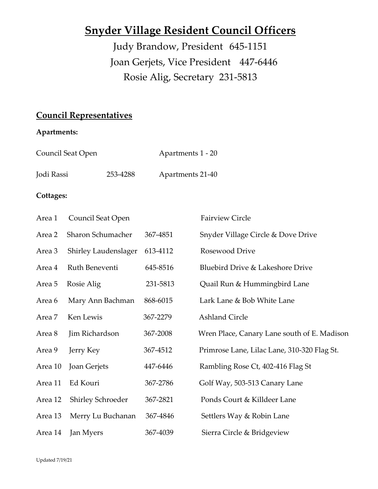# **Snyder Village Resident Council Officers**

Judy Brandow, President 645-1151 Joan Gerjets, Vice President 447-6446 Rosie Alig, Secretary 231-5813

## **Council Representatives**

## **Apartments:**

| Council Seat Open |          | Apartments 1 - 20 |
|-------------------|----------|-------------------|
| Jodi Rassi        | 253-4288 | Apartments 21-40  |

## **Cottages:**

| Area 1  | Council Seat Open        |          | <b>Fairview Circle</b>                      |
|---------|--------------------------|----------|---------------------------------------------|
| Area 2  | Sharon Schumacher        | 367-4851 | Snyder Village Circle & Dove Drive          |
| Area 3  | Shirley Laudenslager     | 613-4112 | Rosewood Drive                              |
| Area 4  | Ruth Beneventi           | 645-8516 | Bluebird Drive & Lakeshore Drive            |
| Area 5  | Rosie Alig               | 231-5813 | Quail Run & Hummingbird Lane                |
| Area 6  | Mary Ann Bachman         | 868-6015 | Lark Lane & Bob White Lane                  |
| Area 7  | Ken Lewis                | 367-2279 | <b>Ashland Circle</b>                       |
| Area 8  | Jim Richardson           | 367-2008 | Wren Place, Canary Lane south of E. Madison |
| Area 9  | Jerry Key                | 367-4512 | Primrose Lane, Lilac Lane, 310-320 Flag St. |
| Area 10 | Joan Gerjets             | 447-6446 | Rambling Rose Ct, 402-416 Flag St           |
| Area 11 | Ed Kouri                 | 367-2786 | Golf Way, 503-513 Canary Lane               |
| Area 12 | <b>Shirley Schroeder</b> | 367-2821 | Ponds Court & Killdeer Lane                 |
| Area 13 | Merry Lu Buchanan        | 367-4846 | Settlers Way & Robin Lane                   |
| Area 14 | Jan Myers                | 367-4039 | Sierra Circle & Bridgeview                  |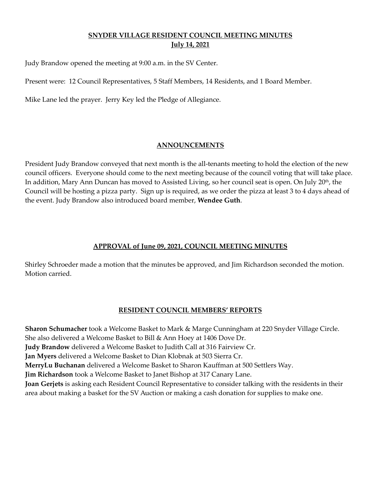## **SNYDER VILLAGE RESIDENT COUNCIL MEETING MINUTES July 14, 2021**

Judy Brandow opened the meeting at 9:00 a.m. in the SV Center.

Present were: 12 Council Representatives, 5 Staff Members, 14 Residents, and 1 Board Member.

Mike Lane led the prayer. Jerry Key led the Pledge of Allegiance.

#### **ANNOUNCEMENTS**

President Judy Brandow conveyed that next month is the all-tenants meeting to hold the election of the new council officers. Everyone should come to the next meeting because of the council voting that will take place. In addition, Mary Ann Duncan has moved to Assisted Living, so her council seat is open. On July 20<sup>th</sup>, the Council will be hosting a pizza party. Sign up is required, as we order the pizza at least 3 to 4 days ahead of the event. Judy Brandow also introduced board member, **Wendee Guth**.

## **APPROVAL of June 09, 2021, COUNCIL MEETING MINUTES**

Shirley Schroeder made a motion that the minutes be approved, and Jim Richardson seconded the motion. Motion carried.

#### **RESIDENT COUNCIL MEMBERS' REPORTS**

**Sharon Schumacher** took a Welcome Basket to Mark & Marge Cunningham at 220 Snyder Village Circle. She also delivered a Welcome Basket to Bill & Ann Hoey at 1406 Dove Dr. **Judy Brandow** delivered a Welcome Basket to Judith Call at 316 Fairview Cr. **Jan Myers** delivered a Welcome Basket to Dian Klobnak at 503 Sierra Cr. **MerryLu Buchanan** delivered a Welcome Basket to Sharon Kauffman at 500 Settlers Way. **Jim Richardson** took a Welcome Basket to Janet Bishop at 317 Canary Lane. **Joan Gerjets** is asking each Resident Council Representative to consider talking with the residents in their area about making a basket for the SV Auction or making a cash donation for supplies to make one.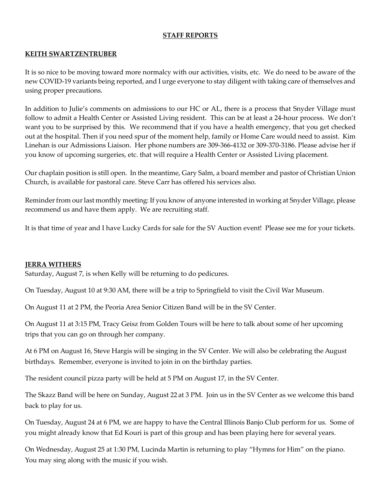## **STAFF REPORTS**

## **KEITH SWARTZENTRUBER**

It is so nice to be moving toward more normalcy with our activities, visits, etc. We do need to be aware of the new COVID-19 variants being reported, and I urge everyone to stay diligent with taking care of themselves and using proper precautions.

In addition to Julie's comments on admissions to our HC or AL, there is a process that Snyder Village must follow to admit a Health Center or Assisted Living resident. This can be at least a 24-hour process. We don't want you to be surprised by this. We recommend that if you have a health emergency, that you get checked out at the hospital. Then if you need spur of the moment help, family or Home Care would need to assist. Kim Linehan is our Admissions Liaison. Her phone numbers are 309-366-4132 or 309-370-3186. Please advise her if you know of upcoming surgeries, etc. that will require a Health Center or Assisted Living placement.

Our chaplain position is still open. In the meantime, Gary Salm, a board member and pastor of Christian Union Church, is available for pastoral care. Steve Carr has offered his services also.

Reminder from our last monthly meeting: If you know of anyone interested in working at Snyder Village, please recommend us and have them apply. We are recruiting staff.

It is that time of year and I have Lucky Cards for sale for the SV Auction event! Please see me for your tickets.

#### **JERRA WITHERS**

Saturday, August 7, is when Kelly will be returning to do pedicures.

On Tuesday, August 10 at 9:30 AM, there will be a trip to Springfield to visit the Civil War Museum.

On August 11 at 2 PM, the Peoria Area Senior Citizen Band will be in the SV Center.

On August 11 at 3:15 PM, Tracy Geisz from Golden Tours will be here to talk about some of her upcoming trips that you can go on through her company.

At 6 PM on August 16, Steve Hargis will be singing in the SV Center. We will also be celebrating the August birthdays. Remember, everyone is invited to join in on the birthday parties.

The resident council pizza party will be held at 5 PM on August 17, in the SV Center.

The Skazz Band will be here on Sunday, August 22 at 3 PM. Join us in the SV Center as we welcome this band back to play for us.

On Tuesday, August 24 at 6 PM, we are happy to have the Central Illinois Banjo Club perform for us. Some of you might already know that Ed Kouri is part of this group and has been playing here for several years.

On Wednesday, August 25 at 1:30 PM, Lucinda Martin is returning to play "Hymns for Him" on the piano. You may sing along with the music if you wish.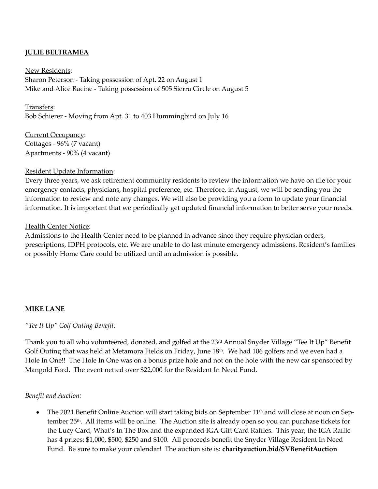## **JULIE BELTRAMEA**

New Residents: Sharon Peterson - Taking possession of Apt. 22 on August 1 Mike and Alice Racine - Taking possession of 505 Sierra Circle on August 5

Transfers: Bob Schierer - Moving from Apt. 31 to 403 Hummingbird on July 16

Current Occupancy: Cottages - 96% (7 vacant) Apartments - 90% (4 vacant)

#### Resident Update Information:

Every three years, we ask retirement community residents to review the information we have on file for your emergency contacts, physicians, hospital preference, etc. Therefore, in August, we will be sending you the information to review and note any changes. We will also be providing you a form to update your financial information. It is important that we periodically get updated financial information to better serve your needs.

#### Health Center Notice:

Admissions to the Health Center need to be planned in advance since they require physician orders, prescriptions, IDPH protocols, etc. We are unable to do last minute emergency admissions. Resident's families or possibly Home Care could be utilized until an admission is possible.

## **MIKE LANE**

*"Tee It Up" Golf Outing Benefit:*

Thank you to all who volunteered, donated, and golfed at the 23<sup>rd</sup> Annual Snyder Village "Tee It Up" Benefit Golf Outing that was held at Metamora Fields on Friday, June 18<sup>th</sup>. We had 106 golfers and we even had a Hole In One!! The Hole In One was on a bonus prize hole and not on the hole with the new car sponsored by Mangold Ford. The event netted over \$22,000 for the Resident In Need Fund.

#### *Benefit and Auction:*

• The 2021 Benefit Online Auction will start taking bids on September 11<sup>th</sup> and will close at noon on September 25th. All items will be online. The Auction site is already open so you can purchase tickets for the Lucy Card, What's In The Box and the expanded IGA Gift Card Raffles. This year, the IGA Raffle has 4 prizes: \$1,000, \$500, \$250 and \$100. All proceeds benefit the Snyder Village Resident In Need Fund. Be sure to make your calendar! The auction site is: **charityauction.bid/SVBenefitAuction**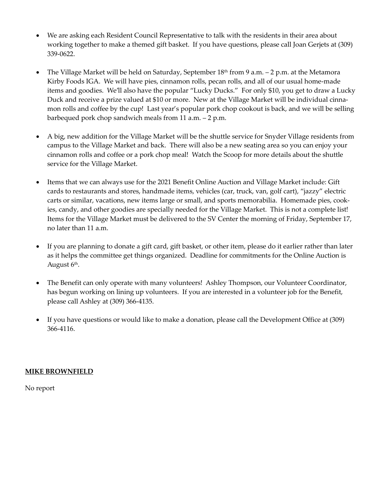- We are asking each Resident Council Representative to talk with the residents in their area about working together to make a themed gift basket. If you have questions, please call Joan Gerjets at (309) 339-0622.
- The Village Market will be held on Saturday, September 18th from 9 a.m. 2 p.m. at the Metamora Kirby Foods IGA. We will have pies, cinnamon rolls, pecan rolls, and all of our usual home-made items and goodies. We'll also have the popular "Lucky Ducks." For only \$10, you get to draw a Lucky Duck and receive a prize valued at \$10 or more. New at the Village Market will be individual cinnamon rolls and coffee by the cup! Last year's popular pork chop cookout is back, and we will be selling barbequed pork chop sandwich meals from 11 a.m. – 2 p.m.
- A big, new addition for the Village Market will be the shuttle service for Snyder Village residents from campus to the Village Market and back. There will also be a new seating area so you can enjoy your cinnamon rolls and coffee or a pork chop meal! Watch the Scoop for more details about the shuttle service for the Village Market.
- Items that we can always use for the 2021 Benefit Online Auction and Village Market include: Gift cards to restaurants and stores, handmade items, vehicles (car, truck, van, golf cart), "jazzy" electric carts or similar, vacations, new items large or small, and sports memorabilia. Homemade pies, cookies, candy, and other goodies are specially needed for the Village Market. This is not a complete list! Items for the Village Market must be delivered to the SV Center the morning of Friday, September 17, no later than 11 a.m.
- If you are planning to donate a gift card, gift basket, or other item, please do it earlier rather than later as it helps the committee get things organized. Deadline for commitments for the Online Auction is August 6<sup>th</sup>.
- The Benefit can only operate with many volunteers! Ashley Thompson, our Volunteer Coordinator, has begun working on lining up volunteers. If you are interested in a volunteer job for the Benefit, please call Ashley at (309) 366-4135.
- If you have questions or would like to make a donation, please call the Development Office at (309) 366-4116.

## **MIKE BROWNFIELD**

No report